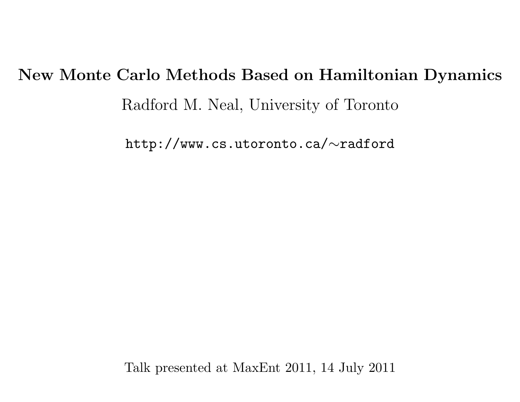# New Monte Carlo Methods Based on Hamiltonian DynamicsRadford M. Neal, University of Toronto

<code>http://www.cs.utoronto.ca/ $\sim$ radford</code>

Talk presented at MaxEnt 2011, <sup>14</sup> July <sup>2011</sup>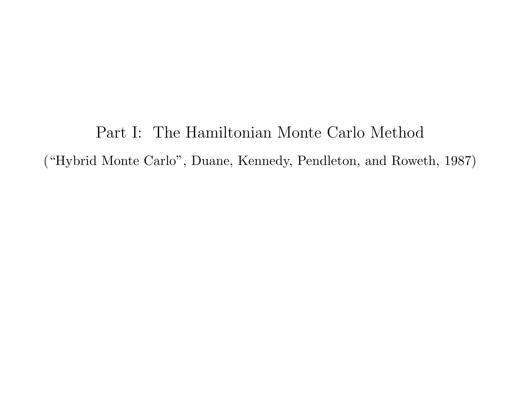Part I: The Hamiltonian Monte Carlo Method("Hybrid Monte Carlo", Duane, Kennedy, Pendleton, and Roweth, 1987)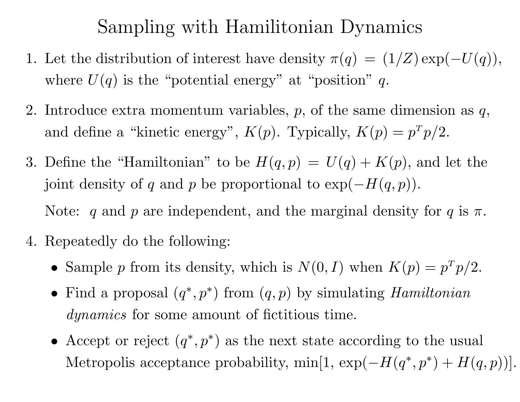### Sampling with Hamilitonian Dynamics

- 1. Let the distribution of interest have density  $\pi(q) = (1/Z) \exp(-\pi i \sqrt{q})$  $-U(q)),$ where  $U(q)$  is the "potential energy" at "position"  $q$ .
- 2. Introduce extra momentum variables,  $p$ , of the same dimension as  $q$ , and define a "kinetic energy",  $K(p)$ . Typically,  $K(p) = p^T p/2$ .
- 3. Define the "Hamiltonian" to be  $H(q, p) = U(q) + K(p)$ , and let the joint density of  $q$  and  $p$  be proportional to  $\exp(-H)$  $-H(q,p)).$ Note: q and p are independent, and the marginal density for q is  $\pi$ .
- 4. Repeatedly do the following:
	- Sample p from its density, which is  $N(0, I)$  when  $K(p) = p^T p/2$ .
	- Find a proposal  $(q^*, p^*)$  from  $(q, p)$  by simulating *Hamiltonian* dynamics for some amount of fictitious time.
	- Accept or reject  $(q^*, p^*)$  as the next state according to the usual Metropolis acceptance probability, min[1, exp( $-H(q^*,p^*)+H(q,p))].$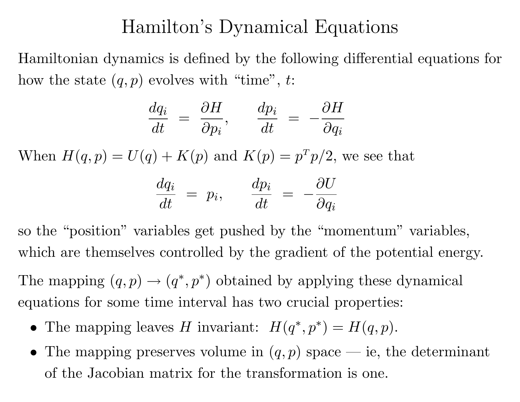#### Hamilton's Dynamical Equations

Hamiltonian dynamics is defined by the following differential equations for how the state  $(q, p)$  evolves with "time", t:

$$
\frac{dq_i}{dt} = \frac{\partial H}{\partial p_i}, \qquad \frac{dp_i}{dt} = -\frac{\partial H}{\partial q_i}
$$

When  $H(q, p) = U(q) + K(p)$  and  $K(p) = p^T p/2$ , we see that

$$
\frac{dq_i}{dt} = p_i, \qquad \frac{dp_i}{dt} = -\frac{\partial U}{\partial q_i}
$$

so the "position" variables get pushed by the "momentum" variables, which are themselves controlled by the gradient of the potential energy.

The mapping  $(q, p) \rightarrow (q^*, p^*)$  obtained by applying these dynamical equations for some time interval has two crucial properties:

- The mapping leaves H invariant:  $H(q^*, p^*) = H(q, p)$ .
- The mapping preserves volume in  $(q, p)$  space ie, the determinant of the Jacobian matrix for the transformation is one.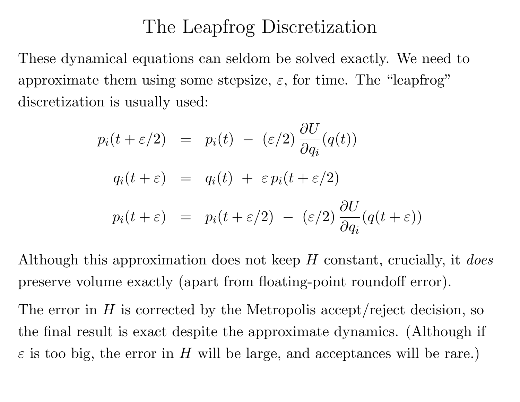#### The Leapfrog Discretization

These dynamical equations can seldom be solved exactly. We need toapproximate them using some stepsize,  $\varepsilon$ , for time. The "leapfrog" discretization is usually used:

$$
p_i(t + \varepsilon/2) = p_i(t) - (\varepsilon/2) \frac{\partial U}{\partial q_i}(q(t))
$$
  

$$
q_i(t + \varepsilon) = q_i(t) + \varepsilon p_i(t + \varepsilon/2)
$$
  

$$
p_i(t + \varepsilon) = p_i(t + \varepsilon/2) - (\varepsilon/2) \frac{\partial U}{\partial q_i}(q(t + \varepsilon))
$$

Although this approximation does not keep  $H$  constant, crucially, it does preserve volume exactly (apart from floating-point roundoff error).

The error in  $H$  is corrected by the Metropolis accept/reject decision, so the final result is exact despite the approximate dynamics. (Although <sup>i</sup> f $\varepsilon$  is too big, the error in H will be large, and acceptances will be rare.)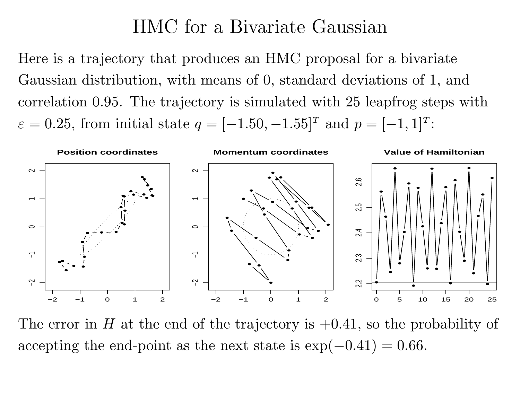#### HMC for <sup>a</sup> Bivariate Gaussian

Here is <sup>a</sup> trajectory that produces an HMC proposa<sup>l</sup> for <sup>a</sup> bivariateGaussian distribution, with means of 0, standard deviations of 1, andcorrelation 0.95. The trajectory is simulated with <sup>25</sup> leapfrog steps with $\varepsilon = 0.25$ , from initial state  $q = [ [1.50, -1.55]^T$  and  $p = [-$ − $1,1]^T$ :



The error in H at the end of the trajectory is  $+0.41$ , so the probability of accepting the end-point as the next state is exp( $0.41) = 0.66.$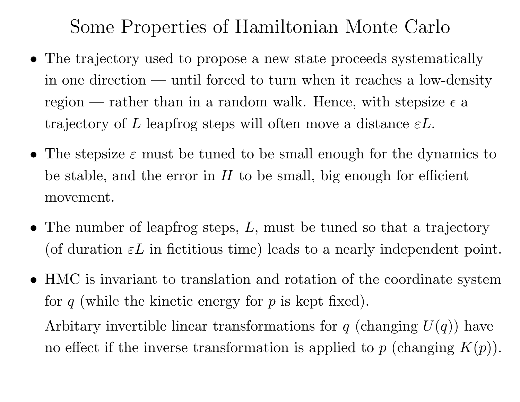Some Properties of Hamiltonian Monte Carlo

- The trajectory used to propose <sup>a</sup> new state proceeds systematicallyin one direction — until forced to turn when it reaches a low-density region — rather than in a random walk. Hence, with stepsize  $\epsilon$  a trajectory of  $L$  leapfrog steps will often move a distance  $\varepsilon L$ .
- The stepsize  $\varepsilon$  must be tuned to be small enough for the dynamics to be stable, and the error in  $H$  to be small, big enough for efficient movement.
- The number of leapfrog steps,  $L$ , must be tuned so that a trajectory (of duration  $\varepsilon L$  in fictitious time) leads to a nearly independent point.
- HMC is invariant to translation and rotation of the coordinate systemfor  $q$  (while the kinetic energy for  $p$  is kept fixed).

Arbitary invertible linear transformations for  $q$  (changing  $U(q)$ ) have no effect if the inverse transformation is applied to  $p$  (changing  $K(p)$ ).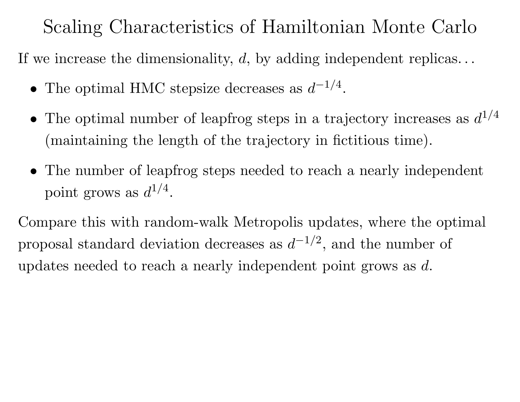### Scaling Characteristics of Hamiltonian Monte Carlo

If we increase the dimensionality,  $d$ , by adding independent replicas...

- The optimal HMC stepsize decreases as  $d^{-1}$  $\frac{1}{\sqrt{2}}$ 4.
- The optimal number of leapfrog steps in a trajectory increases as  $d^1$  $\frac{1}{2}$ 4(maintaining the length of the trajectory in fictitious time).
- The number of leapfrog steps needed to reach <sup>a</sup> nearly independent point grows as  $d^1$  $\frac{1}{\sqrt{2}}$ 4.

Compare this with random-walk Metropolis updates, where the optimal proposal standard deviation decreases as  $d^{-1}$  $\frac{1}{\sqrt{2}}$ <sup>2</sup>, and the number of updates needed to reach a nearly independent point grows as  $d.$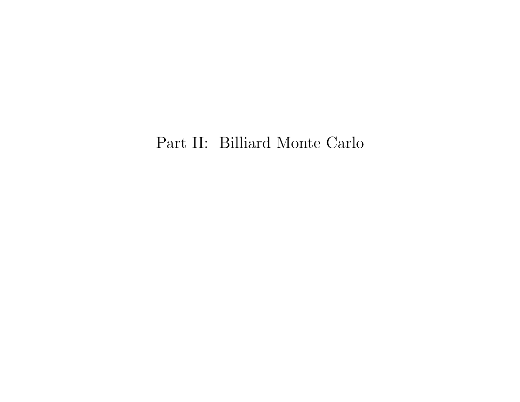#### Part II: Billiard Monte Carlo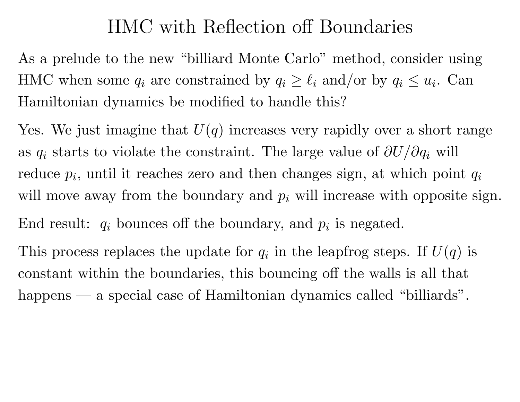#### HMC with Reflection off Boundaries

As <sup>a</sup> prelude to the new "billiard Monte Carlo" method, consider usingHMC when some  $q_i$  are constrained by  $q_i \geq \ell_i$  and/or by  $q_i \leq u_i$ . Can Hamiltonian dynamics be modified to handle this?

Yes. We just imagine that  $U(q)$  increases very rapidly over a short range as  $q_i$  starts to violate the constraint. The large value of  $\partial U/\partial q_i$  will reduce  $p_i$ , until it reaches zero and then changes sign, at which point  $q_i$ will move away from the boundary and  $p_i$  will increase with opposite sign. End result:  $q_i$  bounces off the boundary, and  $p_i$  is negated.

This process replaces the update for  $q_i$  in the leapfrog steps. If  $U(q)$  is constant within the boundaries, this bouncing off the walls is all thathappens — a special case of Hamiltonian dynamics called "billiards".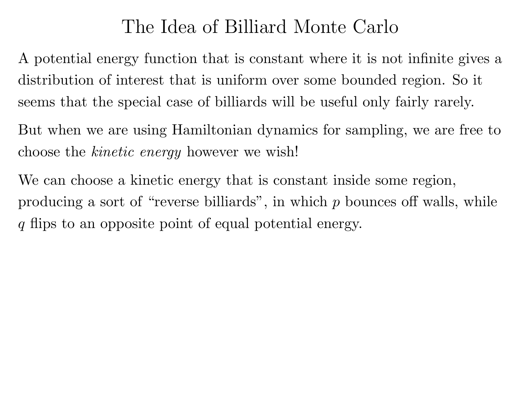### The Idea of Billiard Monte Carlo

<sup>A</sup> potential energy function that is constant where it is not infinite <sup>g</sup>ives <sup>a</sup>distribution of interest that is uniform over some bounded region. So <sup>i</sup> tseems that the special case of billiards will be useful only fairly rarely.

But when we are using Hamiltonian dynamics for sampling, we are free tochoose the *kinetic energy* however we wish!

We can choose <sup>a</sup> kinetic energy that is constant inside some region, producing a sort of "reverse billiards", in which  $p$  bounces off walls, while q flips to an opposite point of equal potential energy.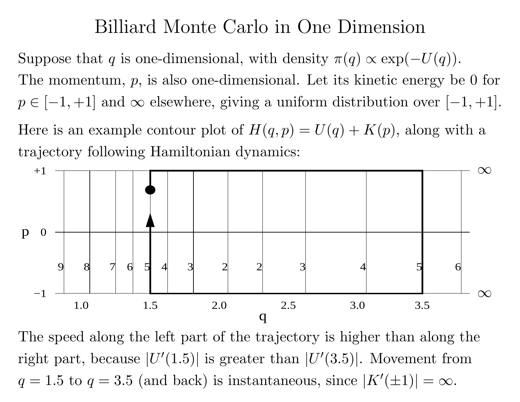#### Billiard Monte Carlo in One Dimension

Suppose that q is one-dimensional, with density  $\pi(q) \propto \exp(\frac{1}{n})$  $-U(q)).$ The momentum,  $p$ , is also one-dimensional. Let its kinetic energy be 0 for  $p \in [-1, +1]$  and  $\infty$  elsewhere, giving a uniform distribution over [- $1, +1].$ 

Here is an example contour plot of  $H(q, p) = U(q) + K(p)$ , along with a trajectory following Hamiltonian dynamics:



The speed along the left part of the trajectory is higher than along theright part, because  $|U'(1.5)|$  is greater than  $|U'(3.5)|$ . Movement from  $q = 1.5$  to  $q = 3.5$  (and back) is instantaneous, since  $|K'(\pm 1)| = \infty$ .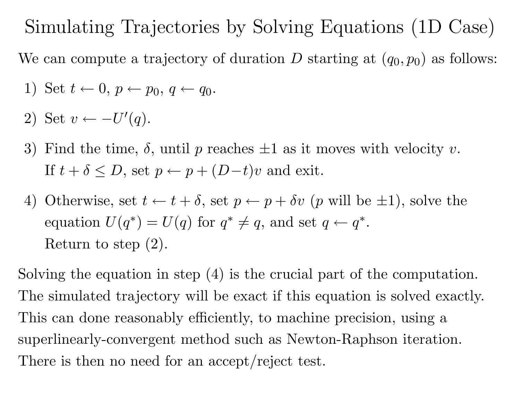#### Simulating Trajectories by Solving Equations (1D Case)

We can compute a trajectory of duration  $D$  starting at  $(q_0, p_0)$  as follows:

- 1) Set  $t \leftarrow 0, p \leftarrow p_0, q \leftarrow q_0$ .
- 2) Set  $v \leftarrow -U'$  $(q).$
- 3) Find the time,  $\delta$ , until p reaches  $\pm 1$  as it moves with velocity v. If  $t + \delta \le D$ , set  $p \leftarrow p + (D-t)v$  and exit.
- 4) Otherwise, set  $t \leftarrow t + \delta$ , set  $p \leftarrow p + \delta v$  (p will be  $\pm 1$ ), solve the equation  $U(q^*)=U(q)$  for  $q^*\neq$  Return to step (2).  $\ast \neq q$ , and set  $q \leftarrow q^*$ .

Solving the equation in step (4) is the crucial part of the computation. The simulated trajectory will be exact if this equation is solved exactly. This can done reasonably efficiently, to machine precision, using <sup>a</sup>superlinearly-convergent method such as Newton-Raphson iteration. There is then no need for an accept/reject test.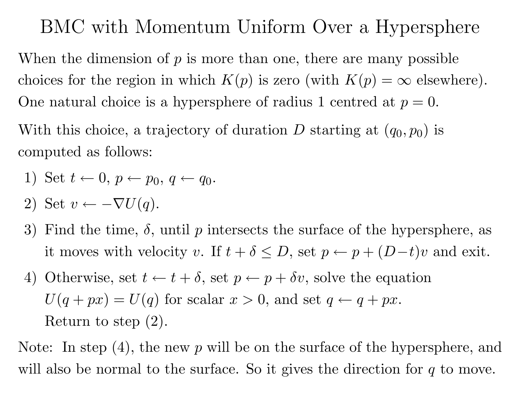### BMC with Momentum Uniform Over <sup>a</sup> Hypersphere

When the dimension of  $p$  is more than one, there are many possible choices for the region in which  $K(p)$  is zero (with  $K(p) = \infty$  elsewhere). One natural choice is a hypersphere of radius 1 centred at  $p = 0$ .

With this choice, a trajectory of duration  $D$  starting at  $(q_0, p_0)$  is computed as follows:

1) Set 
$$
t \leftarrow 0
$$
,  $p \leftarrow p_0$ ,  $q \leftarrow q_0$ .

- 2) Set  $v \leftarrow -\nabla U(q)$ .
- 3) Find the time,  $\delta$ , until p intersects the surface of the hypersphere, as it moves with velocity v. If  $t + \delta \leq D$ , set  $p \leftarrow p + (D-t)v$  and exit.
- 4) Otherwise, set  $t \leftarrow t + \delta$ , set  $p \leftarrow p + \delta v$ , solve the equation  $U(q+px) = U(q)$  for scalar  $x > 0$ , and set  $q \leftarrow q + px$ . Return to step (2).

Note: In step  $(4)$ , the new  $p$  will be on the surface of the hypersphere, and will also be normal to the surface. So it gives the direction for  $q$  to move.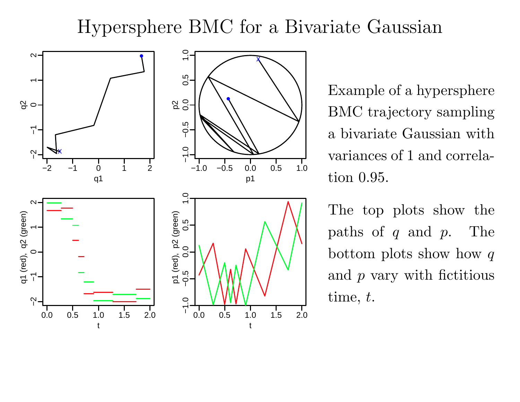### Hypersphere BMC for <sup>a</sup> Bivariate Gaussian



Example of <sup>a</sup> hypersphereBMC trajectory sampling<sup>a</sup> bivariate Gaussian withvariances of <sup>1</sup> and correlation 0.95.

The top <sup>p</sup>lots show the $paths of q and$ <sup>p</sup>. Thebottom plots show how  $q$ and  $p$  vary with fictitious  $\text{time},\,t.$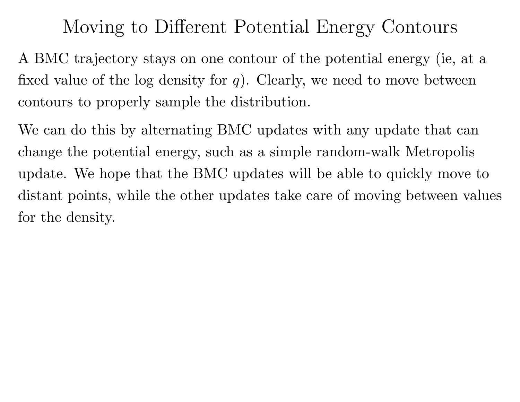## Moving to Different Potential Energy Contours

<sup>A</sup> BMC trajectory stays on one contour of the potential energy (ie, at <sup>a</sup>fixed value of the log density for  $q$ ). Clearly, we need to move between contours to properly sample the distribution.

We can do this by alternating BMC updates with any update that can change the potential energy, such as <sup>a</sup> simple random-walk Metropolisupdate. We hope that the BMC updates will be able to quickly move todistant points, while the other updates take care of moving between valuesfor the density.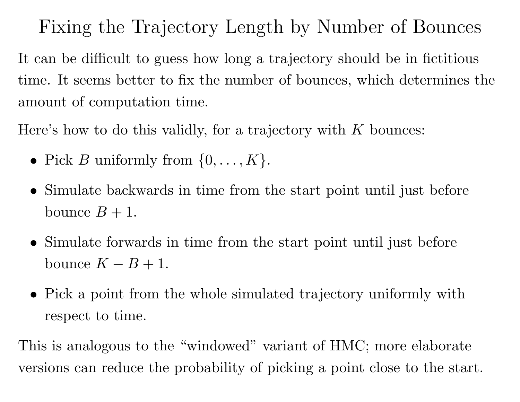Fixing the Trajectory Length by Number of Bounces

It can be difficult to guess how long <sup>a</sup> trajectory should be in fictitioustime. It seems better to fix the number of bounces, which determines theamount of computation time.

Here's how to do this validly, for a trajectory with  $K$  bounces:

- Pick *B* uniformly from  $\{0, \ldots, K\}.$
- Simulate backwards in time from the start point until just before bounce  $B + 1$ .
- Simulate forwards in time from the start point until just before bounce  $K-B+1$ .
- Pick <sup>a</sup> point from the whole simulated trajectory uniformly withrespect to time.

This is analogous to the "windowed" variant of HMC; more elaborateversions can reduce the probability of <sup>p</sup>icking <sup>a</sup> point close to the start.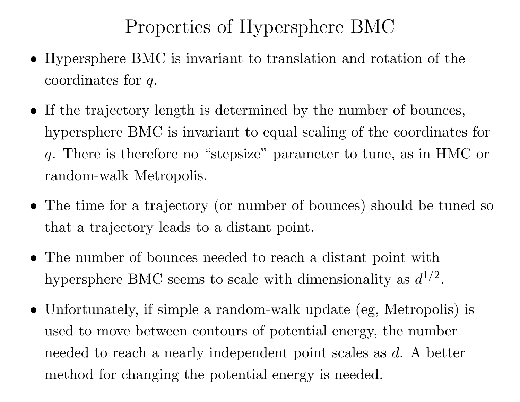## Properties of Hypersphere BMC

- Hypersphere BMC is invariant to translation and rotation of the  $\>$  coordinates for  $q$ .
- If the trajectory length is determined by the number of bounces, hypersphere BMC is invariant to equa<sup>l</sup> scaling of the coordinates for<sup>q</sup>. There is therefore no "stepsize" parameter to tune, as in HMC orrandom-walk Metropolis.
- The time for <sup>a</sup> trajectory (or number of bounces) should be tuned so that <sup>a</sup> trajectory leads to <sup>a</sup> distant point.
- The number of bounces needed to reach <sup>a</sup> distant point withhypersphere BMC seems to scale with dimensionality as  $d^{1/2}$  $\frac{1}{\sqrt{2}}$ 2.
- Unfortunately, if simple <sup>a</sup> random-walk update (eg, Metropolis) is used to move between contours of potential energy, the numberneeded to reach a nearly independent point scales as  $d$ . A better method for changing the potential energy is needed.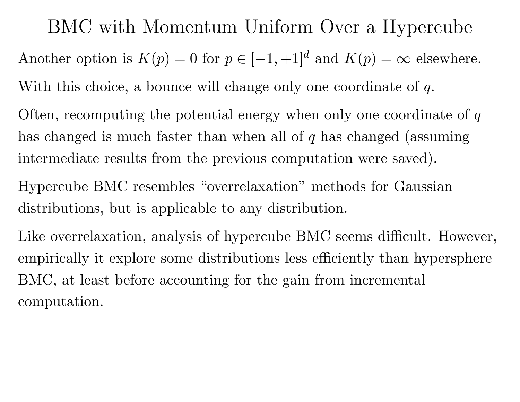BMC with Momentum Uniform Over <sup>a</sup> HypercubeAnother option is  $K(p) = 0$  for  $p \in [-1, +1]^d$  and  $K(p) = \infty$  elsewhere. With this choice, a bounce will change only one coordinate of  $q$ .

Often, recomputing the potential energy when only one coordinate of  $q$ has changed is much faster than when all of  $q$  has changed (assuming intermediate results from the previous computation were saved).

Hypercube BMC resembles "overrelaxation" methods for Gaussiandistributions, but is applicable to any distribution.

Like overrelaxation, analysis of hypercube BMC seems difficult. However, empirically it explore some distributions less efficiently than hypersphereBMC, at least before accounting for the gain from incremental computation.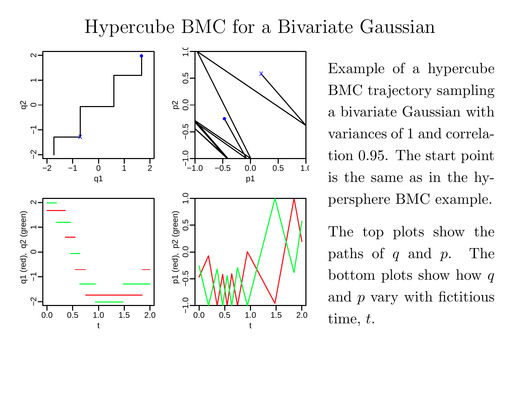#### Hypercube BMC for <sup>a</sup> Bivariate Gaussian



Example of <sup>a</sup> hypercubeBMC trajectory sampling<sup>a</sup> bivariate Gaussian withvariances of <sup>1</sup> and correlation 0.95. The start pointis the same as in the hypersphere BMC example.

The top <sup>p</sup>lots show the $paths of q and$ <sup>p</sup>. Thebottom plots show how  $q$ and  $p$  vary with fictitious  $time,\,t.$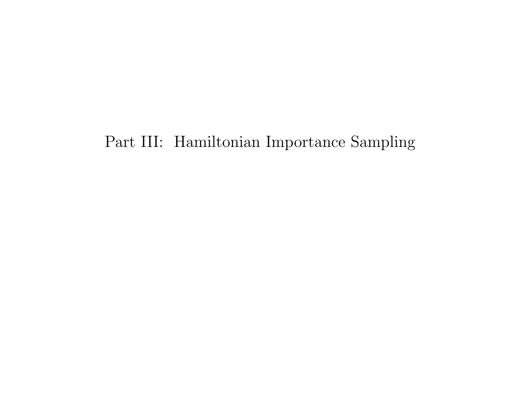#### Part III: Hamiltonian Importance Sampling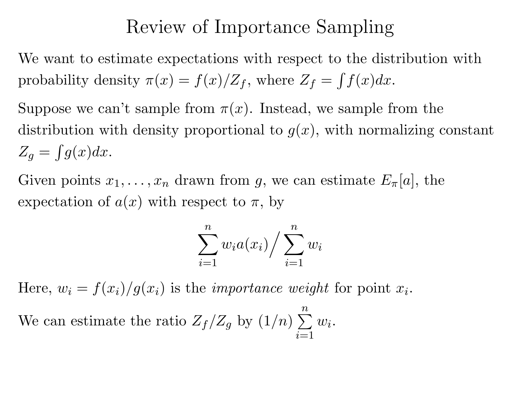### Review of Importance Sampling

We want to estimate expectations with respect to the distribution withprobability density  $\pi(x) = f(x)/Z_f$ , where  $Z_f =$  $\int f(x)dx$ .

Suppose we can't sample from  $\pi(x)$ . Instead, we sample from the distribution with density proportional to  $g(x)$ , with normalizing constant  $Z_g=$  $\int g(x)dx$ .

Given points  $x_1, \ldots, x_n$  $_n$  drawn from  $g$ , we can estimate  $E_{\pi}[a]$ , the expectation of  $a(x)$  with respect to  $\pi$ , by

$$
\sum_{i=1}^{n} w_i a(x_i) / \sum_{i=1}^{n} w_i
$$

Here,  $w_i = f(x_i)/g(x_i)$  is the *importance weight* for point  $x_i$ .

We can estimate the ratio  $Z_f/Z_g$  by  $(1/n)$  $\sum_{n=1}^{n}$  $i{=}1$  $w\,$ i .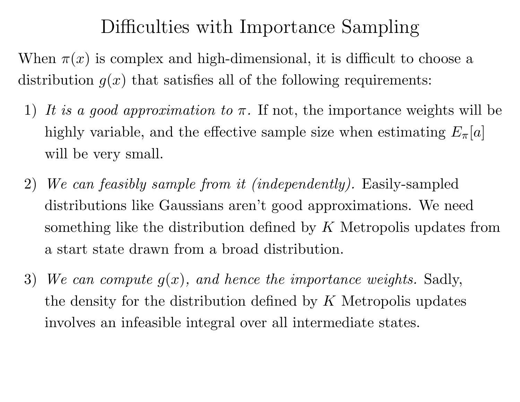## Difficulties with Importance Sampling

When  $\pi(x)$  is complex and high-dimensional, it is difficult to choose a distribution  $g(x)$  that satisfies all of the following requirements:

- 1) It is a good approximation to  $\pi$ . If not, the importance weights will be highly variable, and the effective sample size when estimating  $E_{\pi}[a]$ will be very small.
- 2)We can feasibly sample from it (independently). Easily-sampled distributions like Gaussians aren't good approximations. We needsomething like the distribution defined by  $K$  Metropolis updates from <sup>a</sup> start state drawn from <sup>a</sup> broad distribution.
- 3)) We can compute  $g(x)$ , and hence the importance weights. Sadly, the density for the distribution defined by  $K$  Metropolis updates involves an infeasible integral over all intermediate states.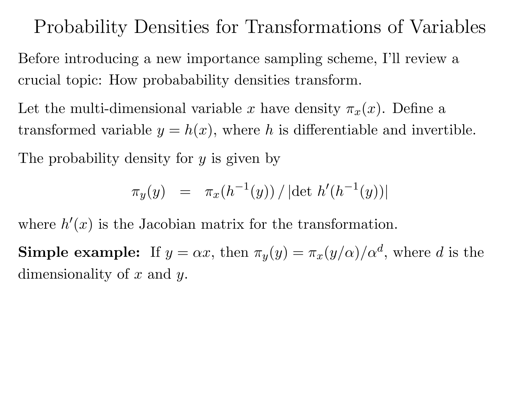### Probability Densities for Transformations of Variables

Before introducing <sup>a</sup> new importance sampling scheme, I'll review <sup>a</sup>crucial topic: How probabability densities transform.

Let the multi-dimensional variable x have density  $\pi_x(x)$ . Define a transformed variable  $y=h(x)$ , where h is differentiable and invertible.

The probability density for  $y$  is given by

$$
\pi_y(y) = \pi_x(h^{-1}(y)) / |\det h'(h^{-1}(y))|
$$

where  $h^\prime$  $(x)$  is the Jacobian matrix for the transformation.

**Simple example:** If  $y = \alpha x$ , then  $\pi_y(y) = \pi_x(y/\alpha)/\alpha^d$ , where d is the dimensionality of  $x$  and  $y$ .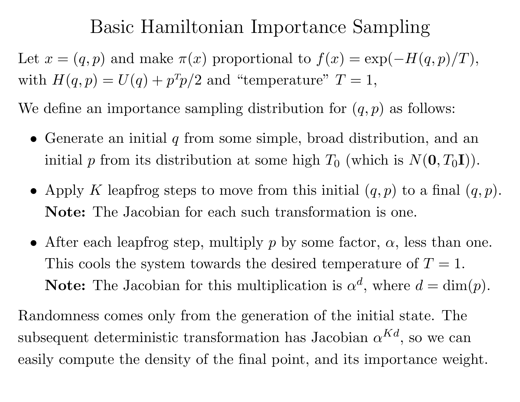### Basic Hamiltonian Importance Sampling

Let  $x = (q, p)$  and make  $\pi(x)$  proportional to  $f(x) = \exp(x)$ with  $H(q, p) = U(q) + p<sup>T</sup>p/2$  and "temperature"  $T = 1$ ,  $-H(q,p)/T),$ 

We define an importance sampling distribution for  $(q, p)$  as follows:

- Generate an initial  $q$  from some simple, broad distribution, and an initial  $p$  from its distribution at some high  $T_0$  (which is  $N(\mathbf{0}, T_0\mathbf{I})$ ).
- Apply K leapfrog steps to move from this initial  $(q, p)$  to a final  $(q, p)$ . Note: The Jacobian for each such transformation is one.
- After each leapfrog step, multiply  $p$  by some factor,  $\alpha$ , less than one. This cools the system towards the desired temperature of  $T = 1$ . **Note:** The Jacobian for this multiplication is  $\alpha$  $d$ , where  $d = \dim(p)$ .

Randomness comes only from the generation of the initial state. Thesubsequent deterministic transformation has Jacobian  $\alpha^{Kd}$ , so we can easily compute the density of the final point, and its importance weight.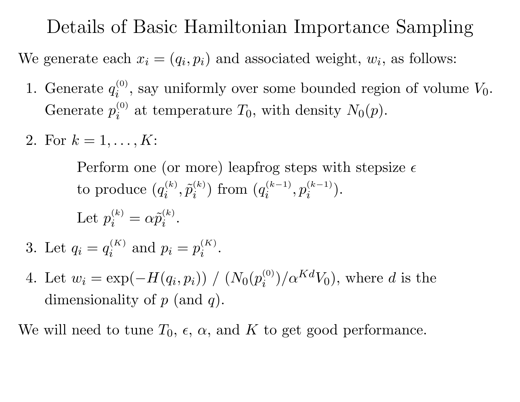Details of Basic Hamiltonian Importance Sampling

We generate each  $x_i = (q_i, p_i)$  and associated weight,  $w_i$ , as follows:

- 1. Generate  $q_i^{(0)}$ , say uniformly over some bounded region of volume  $V_0$ . Generate  $p_i^{(0)}$  at temperature  $T_0$ , with density  $N_0(p)$ .
- 2. For  $k = 1, ..., K$ :

Perform one (or more) leapfrog steps with stepsize  $\epsilon$  ${\rm to\,\, produce}\,\, (q$  $\left( \begin{smallmatrix} (k) \ i \end{smallmatrix} \right), \tilde{p}_i^{(k)}$ ) from  $(q)$  $\hat{p}_i^{(k-1)}, p_i^{(k)}$  $\binom{(k-1)}{i}$ .

Let 
$$
p_i^{(k)} = \alpha \tilde{p}_i^{(k)}
$$
.

- 3. Let  $q_i=q$  $i^{(K)}$  and  $p_i = p$  $\frac{(K)}{i}$  .
- 4. Let  $w_i = \exp(\alpha)$ dimensionality of  $p$  (and  $q$ ).  $-H(q_i,p_i))$  /  $(N_0(p_i^{(0)})/\alpha^{Kd}V_0)$ , where d is the

We will need to tune  $T_0$ ,  $\epsilon$ ,  $\alpha$ , and  $K$  to get good performance.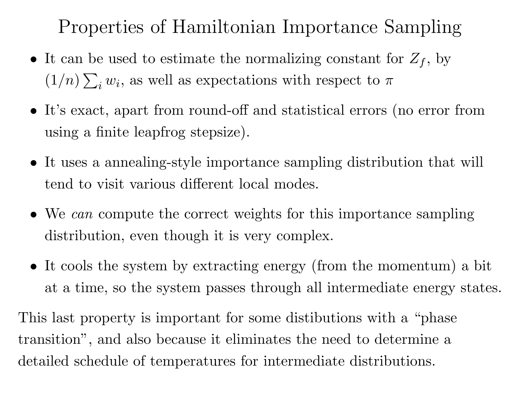Properties of Hamiltonian Importance Sampling

- It can be used to estimate the normalizing constant for  $Z_f$ , by  $(1/n)\sum_i w_i$ , as well as expectations with respect to  $\pi$
- It's exact, apart from round-off and statistical errors (no error fromusing <sup>a</sup> finite leapfrog stepsize).
- It uses <sup>a</sup> annealing-style importance sampling distribution that will tend to visit various different local modes.
- We can compute the correct weights for this importance sampling distribution, even though it is very complex.
- It cools the system by extracting energy (from the momentum) <sup>a</sup> bit at <sup>a</sup> time, so the system passes through all intermediate energy states.

This last property is important for some distibutions with <sup>a</sup> "phasetransition", and also because it eliminates the need to determine <sup>a</sup>detailed schedule of temperatures for intermediate distributions.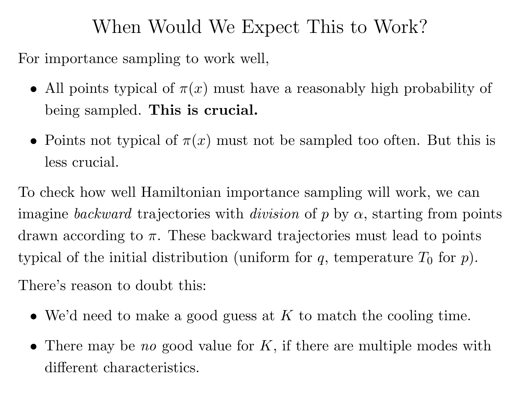## When Would We Expect This to Work?

For importance sampling to work well,

- All points typical of  $\pi(x)$  must have a reasonably high probability of being sampled. This is crucial.
- Points not typical of  $\pi(x)$  must not be sampled too often. But this is less crucial.

To check how well Hamiltonian importance sampling will work, we canimagine *backward* trajectories with *division* of  $p$  by  $\alpha$ , starting from points drawn according to  $\pi$ . These backward trajectories must lead to points typical of the initial distribution (uniform for  $q$ , temperature  $T_0$  for  $p$ ). There's reason to doubt this:

- We'd need to make a good guess at  $K$  to match the cooling time.
- There may be no good value for  $K$ , if there are multiple modes with different characteristics.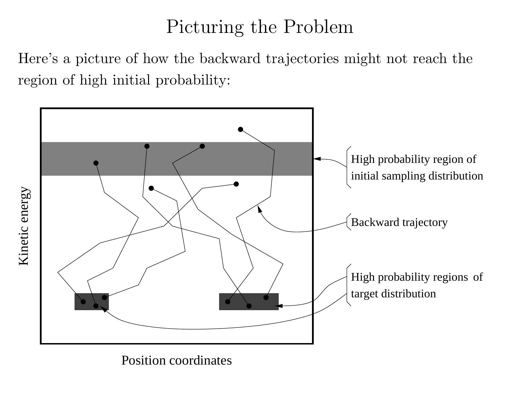## Picturing the Problem

Here's <sup>a</sup> <sup>p</sup>icture of how the backward trajectories might not reach theregion of high initial probability:



Kinetic energy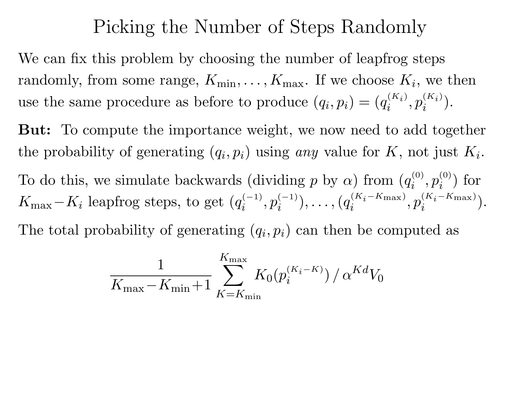#### Picking the Number of Steps Randomly

We can fix this problem by choosing the number of leapfrog stepsrandomly, from some range,  $K_{\min},\ldots,K_{\max}.$  If we choose  $K_i,$  we then use the same procedure as before to produce  $(q_i, p_i) = (q_i, q_j)$  $\hat{p}_i^{(K_i)}, p_i^{(K_i)}$  $\binom{(K_i)}{i}$ .

But: To compute the importance weight, we now need to add togetherthe probability of generating  $(q_i, p_i)$  using any value for K, not just  $K_i$ . To do this, we simulate backwards (dividing  $p$  by  $\alpha$ ) from  $(q_i^{(0)}, p_i^{(0)})$  for <u> 대한 대학 대학 대학 대학 대학 대학 대학 대학 대학 대학 대학 대학</u>  $K_{\rm max}$  $K_i$  leapfrog steps, to get  $(q)$  $\hat{p}_i^{(-1)}, p_i^{(0)}$  $\binom{(-1)}{i},\ldots,\big(q$  $(K_i \binom{(K_i-K_{\max})}{i}, p_i^0$  $(K_i \binom{(K_i-K\text{max})}{i}.$ The total probability of generating  $(q_i, p_i)$  can then be computed as

$$
\frac{1}{K_{\max} - K_{\min} + 1} \sum_{K = K_{\min}}^{K_{\max}} K_0(p_i^{(K_i - K)}) / \alpha^{Kd} V_0
$$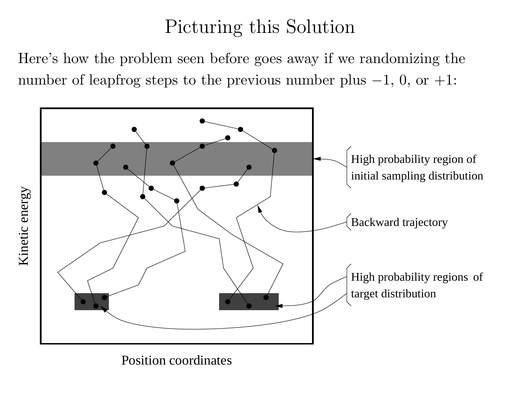## Picturing this Solution

Here's how the problem seen before goes away if we randomizing thenumber of leapfrog steps to the previous number <sup>p</sup>lus <sup>−</sup>1, 0, or +1:

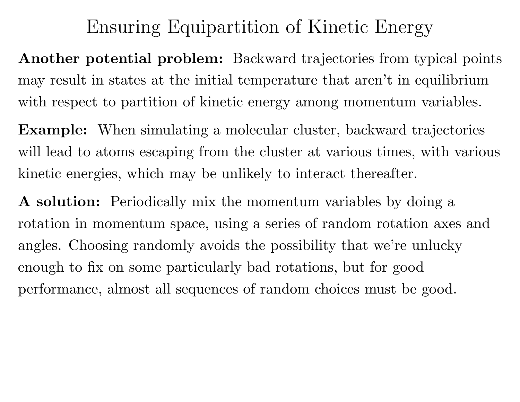## Ensuring Equipartition of Kinetic Energy

Another potential problem: Backward trajectories from typical pointsmay result in states at the initial temperature that aren't in equilibriumwith respect to partition of kinetic energy among momentum variables.

Example: When simulating <sup>a</sup> molecular cluster, backward trajectorieswill lead to atoms escaping from the cluster at various times, with various kinetic energies, which may be unlikely to interact thereafter.

<sup>A</sup> solution: Periodically mix the momentum variables by doing <sup>a</sup>rotation in momentum space, using <sup>a</sup> series of random rotation axes andangles. Choosing randomly avoids the possibility that we're unluckyenoug<sup>h</sup> to fix on some particularly bad rotations, but for goodperformance, almost all sequences of random choices must be good.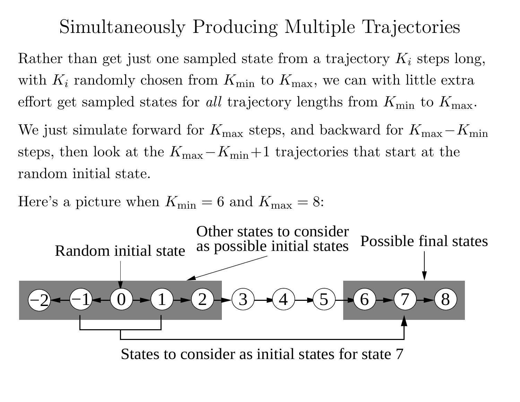### Simultaneously Producing Multiple Trajectories

Rather than get just one sampled state from a trajectory  $K_i$  steps long, with  $K_i$  randomly chosen from  $K_{\min}$  to  $K_{\max}$ , we can with little extra effort get sampled states for *all* trajectory lengths from  $K_{\min}$  to  $K_{\max}$ .

We just simulate forward for  $K_{\text{max}}$  steps, and backward for  $K_{\text{max}}$ −steps, then look at the  $K_{\text{max}} - K_{\text{min}} + 1$  trajectories that start at t  $K_{\rm min}$ − $K_{\rm min}+1$  trajectories that start at the random initial state.

Here's a picture when  $K_{\text{min}} = 6$  and  $K_{\text{max}} = 8$ :



States to consider as initial states for state 7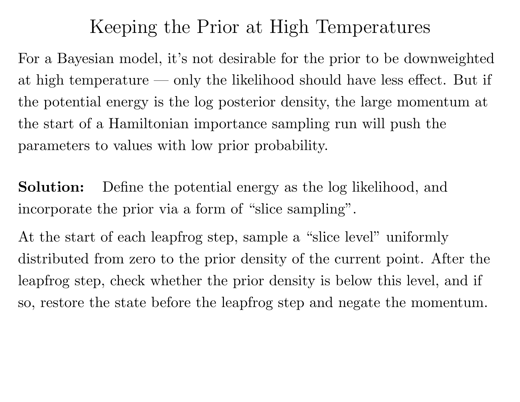#### Keeping the Prior at High Temperatures

For <sup>a</sup> Bayesian model, it's not desirable for the prior to be downweightedat high temperature — only the likelihood should have less effect. But if the potential energy is the log posterior density, the large momentum atthe start of <sup>a</sup> Hamiltonian importance sampling run will pus<sup>h</sup> theparameters to values with low prior probability.

Solution: Define the potential energy as the log likelihood, andincorporate the prior via <sup>a</sup> form of "slice sampling".

At the start of each leapfrog step, sample a "slice level" uniformly distributed from zero to the prior density of the current point. After theleapfrog step, check whether the prior density is below this level, and if so, restore the state before the leapfrog step and negate the momentum.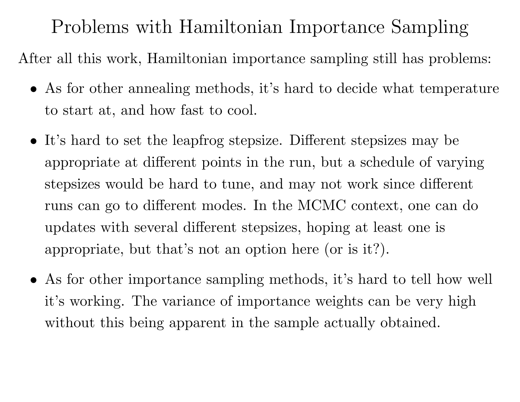Problems with Hamiltonian Importance Sampling

After all this work, Hamiltonian importance sampling still has problems:

- As for other annealing methods, it's hard to decide what temperature to start at, and how fast to cool.
- It's hard to set the leapfrog stepsize. Different stepsizes may be appropriate at different points in the run, but <sup>a</sup> schedule of varyingstepsizes would be hard to tune, and may not work since differentruns can go to different modes. In the MCMC context, one can doupdates with several different stepsizes, hoping at least one isappropriate, but that's not an option here (or is it?).
- As for other importance sampling methods, it's hard to tell how well it's working. The variance of importance weights can be very highwithout this being apparent in the sample actually obtained.